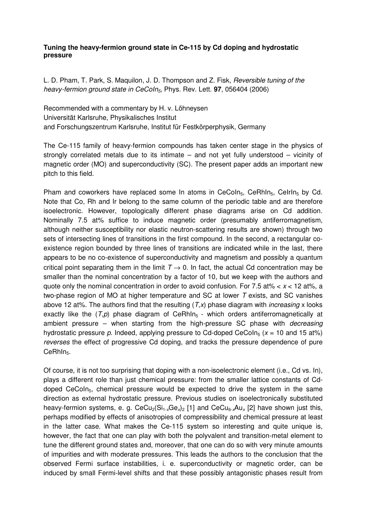## Tuning the heavy-fermion ground state in Ce-115 by Cd doping and hydrostatic pressure

L. D. Pham, T. Park, S. Maquilon, J. D. Thompson and Z. Fisk, Reversible tuning of the heavy-fermion ground state in CeCoIn<sub>5</sub>, Phys. Rev. Lett. **97**, 056404 (2006)

Recommended with a commentary by H. v. Löhneysen Universität Karlsruhe, Physikalisches Institut and Forschungszentrum Karlsruhe, Institut für Festkörperphysik, Germany

The Ce-115 family of heavy-fermion compounds has taken center stage in the physics of strongly correlated metals due to its intimate – and not yet fully understood – vicinity of magnetic order (MO) and superconductivity (SC). The present paper adds an important new pitch to this field.

Pham and coworkers have replaced some In atoms in CeCoIn<sub>5</sub>, CeRhIn<sub>5</sub>, CeIrIn<sub>5</sub> by Cd. Note that Co, Rh and Ir belong to the same column of the periodic table and are therefore isoelectronic. However, topologically different phase diagrams arise on Cd addition. Nominally 7.5 at% suffice to induce magnetic order (presumably antiferromagnetism, although neither susceptibility nor elastic neutron-scattering results are shown) through two sets of intersecting lines of transitions in the first compound. In the second, a rectangular coexistence region bounded by three lines of transitions are indicated while in the last, there appears to be no co-existence of superconductivity and magnetism and possibly a quantum critical point separating them in the limit  $T \rightarrow 0$ . In fact, the actual Cd concentration may be smaller than the nominal concentration by a factor of 10, but we keep with the authors and quote only the nominal concentration in order to avoid confusion. For 7.5 at%  $< x < 12$  at%, a two-phase region of MO at higher temperature and SC at lower T exists, and SC vanishes above 12 at%. The authors find that the resulting  $(T, x)$  phase diagram with *increasing* x looks exactly like the  $(T,p)$  phase diagram of CeRhIn<sub>5</sub> - which orders antiferromagnetically at ambient pressure – when starting from the high-pressure SC phase with *decreasing* hydrostatic pressure p. Indeed, applying pressure to Cd-doped CeCoIn<sub>5</sub> ( $x = 10$  and 15 at%) reverses the effect of progressive Cd doping, and tracks the pressure dependence of pure CeRhIn<sub>5</sub>.

Of course, it is not too surprising that doping with a non-isoelectronic element (i.e., Cd vs. In), plays a different role than just chemical pressure: from the smaller lattice constants of Cddoped CeCoIn<sub>5</sub>, chemical pressure would be expected to drive the system in the same direction as external hydrostatic pressure. Previous studies on isoelectronically substituted heavy-fermion systems, e. g. CeCu<sub>2</sub>(Si<sub>1-x</sub>Ge<sub>x</sub>)<sub>2</sub> [1] and CeCu<sub>6-x</sub>Au<sub>x</sub> [2] have shown just this, perhaps modified by effects of anisotropies of compressibility and chemical pressure at least in the latter case. What makes the Ce-115 system so interesting and quite unique is, however, the fact that one can play with both the polyvalent and transition-metal element to tune the different ground states and, moreover, that one can do so with very minute amounts of impurities and with moderate pressures. This leads the authors to the conclusion that the observed Fermi surface instabilities, i. e. superconductivity or magnetic order, can be induced by small Fermi-level shifts and that these possibly antagonistic phases result from